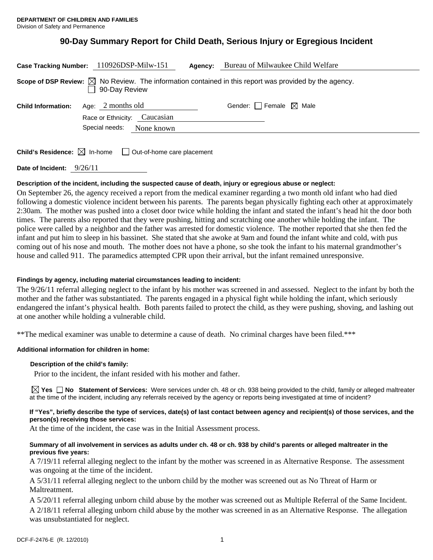## **90-Day Summary Report for Child Death, Serious Injury or Egregious Incident**

| Case Tracking Number: 110926DSP-Milw-151                                                                                          |                              |            | Agency: | Bureau of Milwaukee Child Welfare      |
|-----------------------------------------------------------------------------------------------------------------------------------|------------------------------|------------|---------|----------------------------------------|
| Scope of DSP Review: $\boxtimes$ No Review. The information contained in this report was provided by the agency.<br>90-Day Review |                              |            |         |                                        |
| <b>Child Information:</b>                                                                                                         | Age: $2$ months old          |            |         | Gender: $\Box$ Female $\boxtimes$ Male |
|                                                                                                                                   | Race or Ethnicity: Caucasian |            |         |                                        |
|                                                                                                                                   | Special needs:               | None known |         |                                        |
|                                                                                                                                   |                              |            |         |                                        |
| <b>Child's Residence:</b> $\boxtimes$ In-home<br>$\Box$ Out-of-home care placement                                                |                              |            |         |                                        |

**Date of Incident:** 9/26/11

## **Description of the incident, including the suspected cause of death, injury or egregious abuse or neglect:**

On September 26, the agency received a report from the medical examiner regarding a two month old infant who had died following a domestic violence incident between his parents. The parents began physically fighting each other at approximately 2:30am. The mother was pushed into a closet door twice while holding the infant and stated the infant's head hit the door both times. The parents also reported that they were pushing, hitting and scratching one another while holding the infant. The police were called by a neighbor and the father was arrested for domestic violence. The mother reported that she then fed the infant and put him to sleep in his bassinet. She stated that she awoke at 9am and found the infant white and cold, with pus coming out of his nose and mouth. The mother does not have a phone, so she took the infant to his maternal grandmother's house and called 911. The paramedics attempted CPR upon their arrival, but the infant remained unresponsive.

## **Findings by agency, including material circumstances leading to incident:**

The 9/26/11 referral alleging neglect to the infant by his mother was screened in and assessed. Neglect to the infant by both the mother and the father was substantiated. The parents engaged in a physical fight while holding the infant, which seriously endangered the infant's physical health. Both parents failed to protect the child, as they were pushing, shoving, and lashing out at one another while holding a vulnerable child.

\*\*The medical examiner was unable to determine a cause of death. No criminal charges have been filed.\*\*\*

## **Additional information for children in home:**

## **Description of the child's family:**

Prior to the incident, the infant resided with his mother and father.

**Yes No Statement of Services:** Were services under ch. 48 or ch. 938 being provided to the child, family or alleged maltreater at the time of the incident, including any referrals received by the agency or reports being investigated at time of incident?

#### **If "Yes", briefly describe the type of services, date(s) of last contact between agency and recipient(s) of those services, and the person(s) receiving those services:**

At the time of the incident, the case was in the Initial Assessment process.

#### **Summary of all involvement in services as adults under ch. 48 or ch. 938 by child's parents or alleged maltreater in the previous five years:**

A 7/19/11 referral alleging neglect to the infant by the mother was screened in as Alternative Response. The assessment was ongoing at the time of the incident.

A 5/31/11 referral alleging neglect to the unborn child by the mother was screened out as No Threat of Harm or Maltreatment.

A 5/20/11 referral alleging unborn child abuse by the mother was screened out as Multiple Referral of the Same Incident. A 2/18/11 referral alleging unborn child abuse by the mother was screened in as an Alternative Response. The allegation was unsubstantiated for neglect.